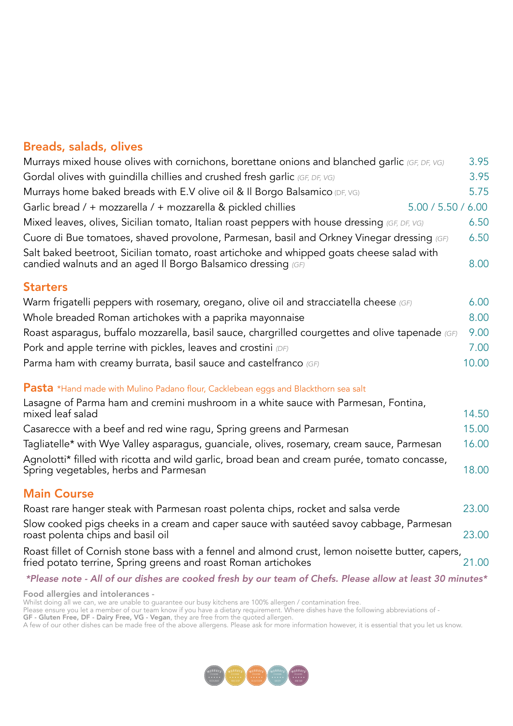## Breads, salads, olives

| Murrays mixed house olives with cornichons, borettane onions and blanched garlic (GF, DF, VG)                                                             | 3.95  |
|-----------------------------------------------------------------------------------------------------------------------------------------------------------|-------|
| Gordal olives with guindilla chillies and crushed fresh garlic (GF, DF, VG)                                                                               | 3.95  |
| Murrays home baked breads with E.V olive oil & Il Borgo Balsamico (DF, VG)                                                                                | 5.75  |
| 5.00 / 5.50 / 6.00<br>Garlic bread / + mozzarella / + mozzarella & pickled chillies                                                                       |       |
| Mixed leaves, olives, Sicilian tomato, Italian roast peppers with house dressing (GF, DF, VG)                                                             | 6.50  |
| Cuore di Bue tomatoes, shaved provolone, Parmesan, basil and Orkney Vinegar dressing (GF)                                                                 | 6.50  |
| Salt baked beetroot, Sicilian tomato, roast artichoke and whipped goats cheese salad with<br>candied walnuts and an aged II Borgo Balsamico dressing (GF) | 8.00  |
| <b>Starters</b>                                                                                                                                           |       |
| Warm frigatelli peppers with rosemary, oregano, olive oil and stracciatella cheese (GF)                                                                   | 6.00  |
| Whole breaded Roman artichokes with a paprika mayonnaise                                                                                                  | 8.00  |
| Roast asparagus, buffalo mozzarella, basil sauce, chargrilled courgettes and olive tapenade (GF)                                                          | 9.00  |
| Pork and apple terrine with pickles, leaves and crostini $(DF)$                                                                                           | 7.00  |
| Parma ham with creamy burrata, basil sauce and castelfranco (GF)                                                                                          | 10.00 |
| <b>Pasta</b> *Hand made with Mulino Padano flour, Cacklebean eggs and Blackthorn sea salt                                                                 |       |
| Lasagne of Parma ham and cremini mushroom in a white sauce with Parmesan, Fontina,<br>mixed leaf salad                                                    | 14.50 |
| Casarecce with a beef and red wine ragu, Spring greens and Parmesan                                                                                       | 15.00 |
| Tagliatelle* with Wye Valley asparagus, guanciale, olives, rosemary, cream sauce, Parmesan                                                                | 16.00 |
| Agnolotti* filled with ricotta and wild garlic, broad bean and cream purée, tomato concasse,<br>Spring vegetables, herbs and Parmesan                     | 18.00 |
|                                                                                                                                                           |       |

## Main Course

| Roast rare hanger steak with Parmesan roast polenta chips, rocket and salsa verde                                                                                   | 23.00 |
|---------------------------------------------------------------------------------------------------------------------------------------------------------------------|-------|
| Slow cooked pigs cheeks in a cream and caper sauce with sautéed savoy cabbage, Parmesan<br>roast polenta chips and basil oil                                        | 23.00 |
| Roast fillet of Cornish stone bass with a fennel and almond crust, lemon noisette butter, capers,<br>fried potato terrine, Spring greens and roast Roman artichokes | 21.00 |

## *\*Please note - All of our dishes are cooked fresh by our team of Chefs. Please allow at least 30 minutes\**

Food allergies and intolerances -

Whilst doing all we can, we are unable to guarantee our busy kitchens are 100% allergen / contamination free.

Please ensure you let a member of our team know if you have a dietary requirement. Where dishes have the following abbreviations of -

GF - Gluten Free, DF - Dairy Free, VG - Vegan, they are free from the quoted allergen.

A few of our other dishes can be made free of the above allergens. Please ask for more information however, it is essential that you let us know.

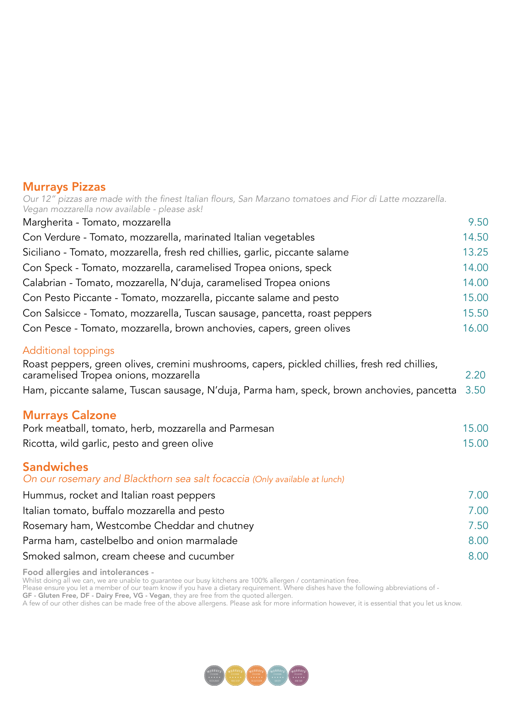## Murrays Pizzas

| Our 12" pizzas are made with the finest Italian flours, San Marzano tomatoes and Fior di Latte mozzarella.<br>Vegan mozzarella now available - please ask! |       |
|------------------------------------------------------------------------------------------------------------------------------------------------------------|-------|
| Margherita - Tomato, mozzarella                                                                                                                            | 9.50  |
| Con Verdure - Tomato, mozzarella, marinated Italian vegetables                                                                                             | 14.50 |
| Siciliano - Tomato, mozzarella, fresh red chillies, garlic, piccante salame                                                                                | 13.25 |
| Con Speck - Tomato, mozzarella, caramelised Tropea onions, speck                                                                                           | 14.00 |
| Calabrian - Tomato, mozzarella, N'duja, caramelised Tropea onions                                                                                          | 14.00 |
| Con Pesto Piccante - Tomato, mozzarella, piccante salame and pesto                                                                                         | 15.00 |
| Con Salsicce - Tomato, mozzarella, Tuscan sausage, pancetta, roast peppers                                                                                 | 15.50 |
| Con Pesce - Tomato, mozzarella, brown anchovies, capers, green olives                                                                                      | 16.00 |
| <b>Additional toppings</b>                                                                                                                                 |       |
| Roast peppers, green olives, cremini mushrooms, capers, pickled chillies, fresh red chillies,<br>caramelised Tropea onions, mozzarella                     | 2.20  |
| Ham, piccante salame, Tuscan sausage, N'duja, Parma ham, speck, brown anchovies, pancetta                                                                  | 3.50  |
| <b>Murrays Calzone</b>                                                                                                                                     |       |
| Pork meatball, tomato, herb, mozzarella and Parmesan                                                                                                       | 15.00 |
| Ricotta, wild garlic, pesto and green olive                                                                                                                | 15.00 |
|                                                                                                                                                            |       |
| <b>Sandwiches</b><br>On our rosemary and Blackthorn sea salt focaccia (Only available at lunch)                                                            |       |
| Hummus, rocket and Italian roast peppers                                                                                                                   | 7.00  |
| Italian tomato, buffalo mozzarella and pesto                                                                                                               | 7.00  |
| Rosemary ham, Westcombe Cheddar and chutney                                                                                                                | 7.50  |
| Parma ham, castelbelbo and onion marmalade                                                                                                                 | 8.00  |
| Smoked salmon, cream cheese and cucumber                                                                                                                   | 8.00  |
|                                                                                                                                                            |       |

Food allergies and intolerances -

Whilst doing all we can, we are unable to guarantee our busy kitchens are 100% allergen / contamination free.

Please ensure you let a member of our team know if you have a dietary requirement. Where dishes have the following abbreviations of -

GF - Gluten Free, DF - Dairy Free, VG - Vegan, they are free from the quoted allergen.

A few of our other dishes can be made free of the above allergens. Please ask for more information however, it is essential that you let us know.